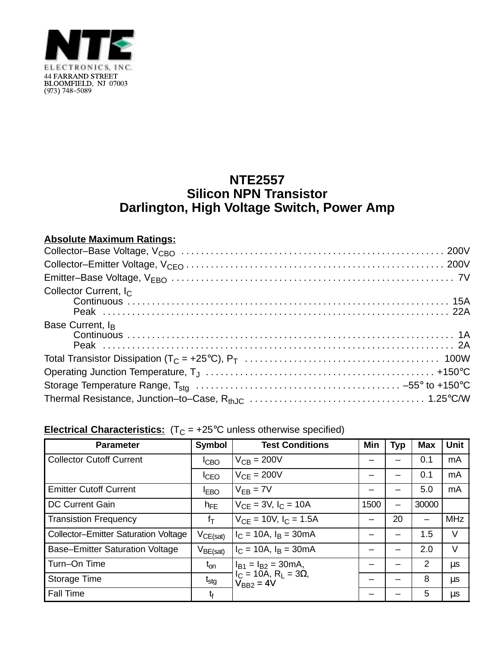

## **NTE2557 Silicon NPN Transistor Darlington, High Voltage Switch, Power Amp**

## **Absolute Maximum Ratings:**

| Collector Current, I <sub>C</sub> |
|-----------------------------------|
| Base Current, I <sub>B</sub>      |
|                                   |
|                                   |
|                                   |
|                                   |

## **Electrical Characteristics:**  $(T_C = +25^{\circ}C$  unless otherwise specified)

| <b>Parameter</b>                            | Symbol           | <b>Test Conditions</b>                                                                      | Min  | <b>Typ</b> | <b>Max</b> | <b>Unit</b> |
|---------------------------------------------|------------------|---------------------------------------------------------------------------------------------|------|------------|------------|-------------|
| <b>Collector Cutoff Current</b>             | <b>ICBO</b>      | $V_{CB} = 200V$                                                                             |      |            | 0.1        | mA          |
|                                             | I <sub>CEO</sub> | $V_{CF} = 200V$                                                                             |      |            | 0.1        | mA          |
| <b>Emitter Cutoff Current</b>               | <b>IEBO</b>      | $V_{FB} = 7V$                                                                               |      |            | 5.0        | mA          |
| <b>DC Current Gain</b>                      | $h_{FE}$         | $V_{CE}$ = 3V, $I_C$ = 10A                                                                  | 1500 | —          | 30000      |             |
| <b>Transistion Frequency</b>                | $f_T$            | $V_{CE} = 10V$ , $I_C = 1.5A$                                                               | —    | 20         | -          | <b>MHz</b>  |
| <b>Collector-Emitter Saturation Voltage</b> | $V_{CE(sat)}$    | $I_C = 10A$ , $I_B = 30mA$                                                                  |      |            | 1.5        | V           |
| <b>Base-Emitter Saturation Voltage</b>      | $V_{BE(sat)}$    | $I_C = 10A$ , $I_B = 30mA$                                                                  |      |            | 2.0        | V           |
| Turn-On Time                                | $t_{on}$         | $I_{B1} = I_{B2} = 30mA,$<br>$I_C$ = 10A, R <sub>L</sub> = 3Ω,<br>$\overline{V}_{BB2} = 4V$ |      |            | 2          | $\mu$ s     |
| Storage Time                                | $t_{\text{stg}}$ |                                                                                             |      |            | 8          | μs          |
| <b>Fall Time</b>                            | $t_{\rm f}$      |                                                                                             |      |            | 5          | μs          |